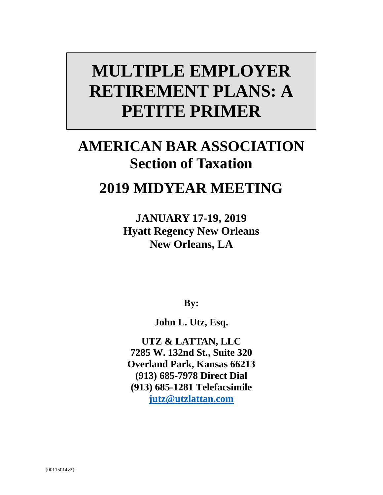# **MULTIPLE EMPLOYER RETIREMENT PLANS: A PETITE PRIMER**

# **AMERICAN BAR ASSOCIATION Section of Taxation**

## **2019 MIDYEAR MEETING**

**JANUARY 17-19, 2019 Hyatt Regency New Orleans New Orleans, LA**

**By:**

**John L. Utz, Esq.** 

**UTZ & LATTAN, LLC 7285 W. 132nd St., Suite 320 Overland Park, Kansas 66213 (913) 685-7978 Direct Dial (913) 685-1281 Telefacsimile jutz@utzlattan.com**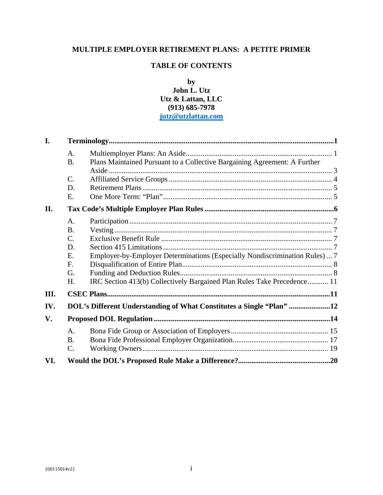### **MULTIPLE EMPLOYER RETIREMENT PLANS: A PETITE PRIMER**

### **TABLE OF CONTENTS**

### **by John L. Utz Utz & Lattan, LLC (913) 685-7978 jutz@utzlattan.com**

| I.   |                 |                                                                             |  |
|------|-----------------|-----------------------------------------------------------------------------|--|
|      | A.              |                                                                             |  |
|      | <b>B.</b>       | Plans Maintained Pursuant to a Collective Bargaining Agreement: A Further   |  |
|      |                 |                                                                             |  |
|      | $\mathcal{C}$ . |                                                                             |  |
|      | D.              |                                                                             |  |
|      | E.              |                                                                             |  |
| II.  |                 |                                                                             |  |
|      | A.              |                                                                             |  |
|      | <b>B.</b>       |                                                                             |  |
|      | $\mathcal{C}$ . |                                                                             |  |
|      | D.              |                                                                             |  |
|      | E.              | Employer-by-Employer Determinations (Especially Nondiscrimination Rules)  7 |  |
|      | F.              |                                                                             |  |
|      | G.              |                                                                             |  |
|      | H.              | IRC Section 413(b) Collectively Bargained Plan Rules Take Precedence 11     |  |
| III. |                 |                                                                             |  |
| IV.  |                 | DOL's Different Understanding of What Constitutes a Single "Plan" 12        |  |
| V.   |                 |                                                                             |  |
|      | A.              |                                                                             |  |
|      | <b>B.</b>       |                                                                             |  |
|      | $\mathcal{C}$ . |                                                                             |  |
| VI.  |                 |                                                                             |  |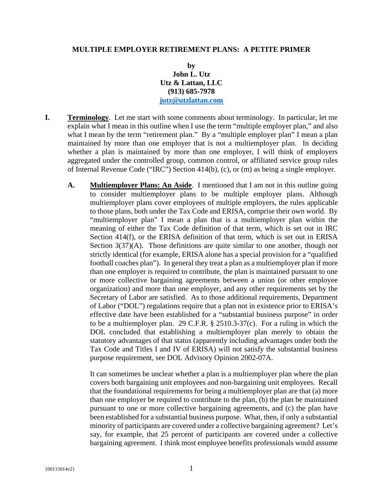#### **MULTIPLE EMPLOYER RETIREMENT PLANS: A PETITE PRIMER**

**by John L. Utz Utz & Lattan, LLC (913) 685-7978 jutz@utzlattan.com** 

- **I. Terminology**. Let me start with some comments about terminology. In particular, let me explain what I mean in this outline when I use the term "multiple employer plan," and also what I mean by the term "retirement plan." By a "multiple employer plan" I mean a plan maintained by more than one employer that is not a multiemployer plan. In deciding whether a plan is maintained by more than one employer, I will think of employers aggregated under the controlled group, common control, or affiliated service group rules of Internal Revenue Code ("IRC") Section 414(b), (c), or (m) as being a single employer.
	- **A. Multiemployer Plans: An Aside**. I mentioned that I am not in this outline going to consider multiemployer plans to be multiple employer plans. Although multiemployer plans cover employees of multiple employers, the rules applicable to those plans, both under the Tax Code and ERISA, comprise their own world. By "multiemployer plan" I mean a plan that is a multiemployer plan within the meaning of either the Tax Code definition of that term, which is set out in IRC Section 414(f), or the ERISA definition of that term, which is set out in ERISA Section 3(37)(A). Those definitions are quite similar to one another, though not strictly identical (for example, ERISA alone has a special provision for a "qualified football coaches plan"). In general they treat a plan as a multiemployer plan if more than one employer is required to contribute, the plan is maintained pursuant to one or more collective bargaining agreements between a union (or other employee organization) and more than one employer, and any other requirements set by the Secretary of Labor are satisfied. As to those additional requirements, Department of Labor ("DOL") regulations require that a plan not in existence prior to ERISA's effective date have been established for a "substantial business purpose" in order to be a multiemployer plan. 29 C.F.R. § 2510.3-37(c). For a ruling in which the DOL concluded that establishing a multiemployer plan merely to obtain the statutory advantages of that status (apparently including advantages under both the Tax Code and Titles I and IV of ERISA) will not satisfy the substantial business purpose requirement, see DOL Advisory Opinion 2002-07A.

It can sometimes be unclear whether a plan is a multiemployer plan where the plan covers both bargaining unit employees and non-bargaining unit employees. Recall that the foundational requirements for being a multiemployer plan are that (a) more than one employer be required to contribute to the plan, (b) the plan be maintained pursuant to one or more collective bargaining agreements, and (c) the plan have been established for a substantial business purpose. What, then, if only a substantial minority of participants are covered under a collective bargaining agreement? Let's say, for example, that 25 percent of participants are covered under a collective bargaining agreement. I think most employee benefits professionals would assume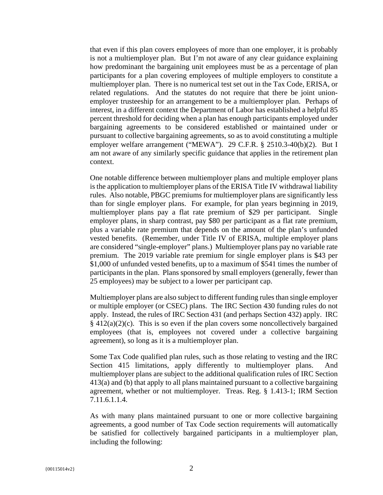that even if this plan covers employees of more than one employer, it is probably is not a multiemployer plan. But I'm not aware of any clear guidance explaining how predominant the bargaining unit employees must be as a percentage of plan participants for a plan covering employees of multiple employers to constitute a multiemployer plan. There is no numerical test set out in the Tax Code, ERISA, or related regulations. And the statutes do not require that there be joint unionemployer trusteeship for an arrangement to be a multiemployer plan. Perhaps of interest, in a different context the Department of Labor has established a helpful 85 percent threshold for deciding when a plan has enough participants employed under bargaining agreements to be considered established or maintained under or pursuant to collective bargaining agreements, so as to avoid constituting a multiple employer welfare arrangement ("MEWA"). 29 C.F.R. § 2510.3-40(b)(2). But I am not aware of any similarly specific guidance that applies in the retirement plan context.

One notable difference between multiemployer plans and multiple employer plans is the application to multiemployer plans of the ERISA Title IV withdrawal liability rules. Also notable, PBGC premiums for multiemployer plans are significantly less than for single employer plans. For example, for plan years beginning in 2019, multiemployer plans pay a flat rate premium of \$29 per participant. Single employer plans, in sharp contrast, pay \$80 per participant as a flat rate premium, plus a variable rate premium that depends on the amount of the plan's unfunded vested benefits. (Remember, under Title IV of ERISA, multiple employer plans are considered "single-employer" plans.) Multiemployer plans pay no variable rate premium. The 2019 variable rate premium for single employer plans is \$43 per \$1,000 of unfunded vested benefits, up to a maximum of \$541 times the number of participants in the plan. Plans sponsored by small employers (generally, fewer than 25 employees) may be subject to a lower per participant cap.

Multiemployer plans are also subject to different funding rules than single employer or multiple employer (or CSEC) plans. The IRC Section 430 funding rules do not apply. Instead, the rules of IRC Section 431 (and perhaps Section 432) apply. IRC  $§$  412(a)(2)(c). This is so even if the plan covers some noncollectively bargained employees (that is, employees not covered under a collective bargaining agreement), so long as it is a multiemployer plan.

Some Tax Code qualified plan rules, such as those relating to vesting and the IRC Section 415 limitations, apply differently to multiemployer plans. And multiemployer plans are subject to the additional qualification rules of IRC Section 413(a) and (b) that apply to all plans maintained pursuant to a collective bargaining agreement, whether or not multiemployer. Treas. Reg. § 1.413-1; IRM Section 7.11.6.1.1.4.

As with many plans maintained pursuant to one or more collective bargaining agreements, a good number of Tax Code section requirements will automatically be satisfied for collectively bargained participants in a multiemployer plan, including the following: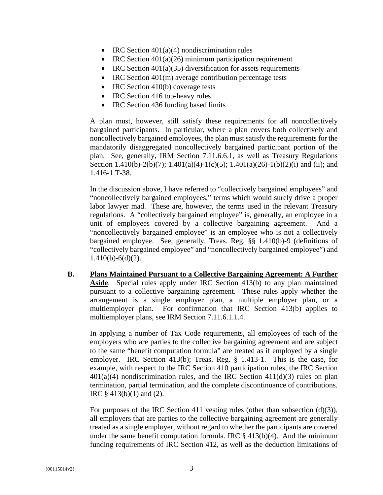- IRC Section  $401(a)(4)$  nondiscrimination rules
- IRC Section 401(a)(26) minimum participation requirement
- IRC Section  $401(a)(35)$  diversification for assets requirements
- IRC Section 401(m) average contribution percentage tests
- IRC Section 410(b) coverage tests
- IRC Section 416 top-heavy rules
- IRC Section 436 funding based limits

A plan must, however, still satisfy these requirements for all noncollectively bargained participants. In particular, where a plan covers both collectively and noncollectively bargained employees, the plan must satisfy the requirements for the mandatorily disaggregated noncollectively bargained participant portion of the plan. See, generally, IRM Section 7.11.6.6.1, as well as Treasury Regulations Section 1.410(b)-2(b)(7); 1.401(a)(4)-1(c)(5); 1.401(a)(26)-1(b)(2)(i) and (ii); and 1.416-1 T-38.

In the discussion above, I have referred to "collectively bargained employees" and "noncollectively bargained employees," terms which would surely drive a proper labor lawyer mad. These are, however, the terms used in the relevant Treasury regulations. A "collectively bargained employee" is, generally, an employee in a unit of employees covered by a collective bargaining agreement. And a "noncollectively bargained employee" is an employee who is not a collectively bargained employee. See, generally, Treas. Reg. §§ 1.410(b)-9 (definitions of "collectively bargained employee" and "noncollectively bargained employee") and  $1.410(b) - 6(d)(2)$ .

**B. Plans Maintained Pursuant to a Collective Bargaining Agreement: A Further Aside**. Special rules apply under IRC Section 413(b) to any plan maintained pursuant to a collective bargaining agreement. These rules apply whether the arrangement is a single employer plan, a multiple employer plan, or a multiemployer plan. For confirmation that IRC Section 413(b) applies to multiemployer plans, see IRM Section 7.11.6.1.1.4.

In applying a number of Tax Code requirements, all employees of each of the employers who are parties to the collective bargaining agreement and are subject to the same "benefit computation formula" are treated as if employed by a single employer. IRC Section 413(b); Treas. Reg. § 1.413-1. This is the case, for example, with respect to the IRC Section 410 participation rules, the IRC Section  $401(a)(4)$  nondiscrimination rules, and the IRC Section  $411(d)(3)$  rules on plan termination, partial termination, and the complete discontinuance of contributions. IRC § 413(b)(1) and (2).

For purposes of the IRC Section 411 vesting rules (other than subsection  $(d)(3)$ ), all employers that are parties to the collective bargaining agreement are generally treated as a single employer, without regard to whether the participants are covered under the same benefit computation formula. IRC  $\S$  413(b)(4). And the minimum funding requirements of IRC Section 412, as well as the deduction limitations of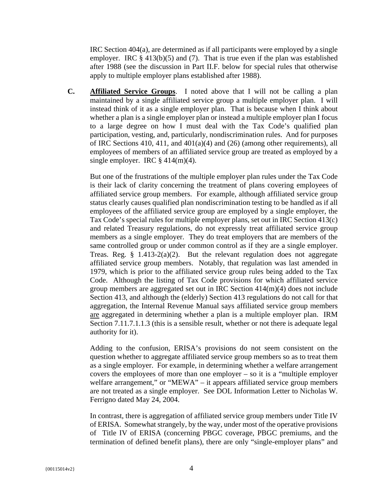IRC Section 404(a), are determined as if all participants were employed by a single employer. IRC  $\S$  413(b)(5) and (7). That is true even if the plan was established after 1988 (see the discussion in Part II.F. below for special rules that otherwise apply to multiple employer plans established after 1988).

**C. Affiliated Service Groups**. I noted above that I will not be calling a plan maintained by a single affiliated service group a multiple employer plan. I will instead think of it as a single employer plan. That is because when I think about whether a plan is a single employer plan or instead a multiple employer plan I focus to a large degree on how I must deal with the Tax Code's qualified plan participation, vesting, and, particularly, nondiscrimination rules. And for purposes of IRC Sections 410, 411, and 401(a)(4) and (26) (among other requirements), all employees of members of an affiliated service group are treated as employed by a single employer. IRC  $\S$  414(m)(4).

But one of the frustrations of the multiple employer plan rules under the Tax Code is their lack of clarity concerning the treatment of plans covering employees of affiliated service group members. For example, although affiliated service group status clearly causes qualified plan nondiscrimination testing to be handled as if all employees of the affiliated service group are employed by a single employer, the Tax Code's special rules for multiple employer plans, set out in IRC Section 413(c) and related Treasury regulations, do not expressly treat affiliated service group members as a single employer. They do treat employers that are members of the same controlled group or under common control as if they are a single employer. Treas. Reg. § 1.413-2(a)(2). But the relevant regulation does not aggregate affiliated service group members. Notably, that regulation was last amended in 1979, which is prior to the affiliated service group rules being added to the Tax Code. Although the listing of Tax Code provisions for which affiliated service group members are aggregated set out in IRC Section 414(m)(4) does not include Section 413, and although the (elderly) Section 413 regulations do not call for that aggregation, the Internal Revenue Manual says affiliated service group members are aggregated in determining whether a plan is a multiple employer plan. IRM Section 7.11.7.1.1.3 (this is a sensible result, whether or not there is adequate legal authority for it).

Adding to the confusion, ERISA's provisions do not seem consistent on the question whether to aggregate affiliated service group members so as to treat them as a single employer. For example, in determining whether a welfare arrangement covers the employees of more than one employer – so it is a "multiple employer welfare arrangement," or "MEWA" – it appears affiliated service group members are not treated as a single employer. See DOL Information Letter to Nicholas W. Ferrigno dated May 24, 2004.

In contrast, there is aggregation of affiliated service group members under Title IV of ERISA. Somewhat strangely, by the way, under most of the operative provisions of Title IV of ERISA (concerning PBGC coverage, PBGC premiums, and the termination of defined benefit plans), there are only "single-employer plans" and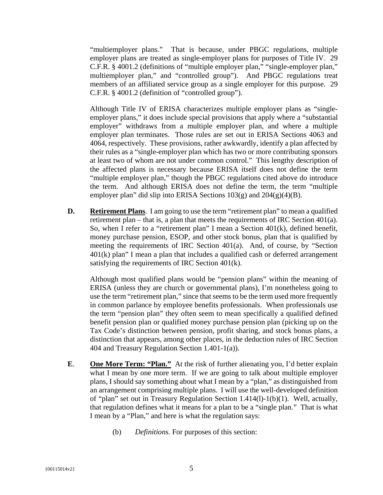"multiemployer plans." That is because, under PBGC regulations, multiple employer plans are treated as single-employer plans for purposes of Title IV. 29 C.F.R. § 4001.2 (definitions of "multiple employer plan," "single-employer plan," multiemployer plan," and "controlled group"). And PBGC regulations treat members of an affiliated service group as a single employer for this purpose. 29 C.F.R. § 4001.2 (definition of "controlled group").

Although Title IV of ERISA characterizes multiple employer plans as "singleemployer plans," it does include special provisions that apply where a "substantial employer" withdraws from a multiple employer plan, and where a multiple employer plan terminates. Those rules are set out in ERISA Sections 4063 and 4064, respectively. These provisions, rather awkwardly, identify a plan affected by their rules as a "single-employer plan which has two or more contributing sponsors at least two of whom are not under common control." This lengthy description of the affected plans is necessary because ERISA itself does not define the term "multiple employer plan," though the PBGC regulations cited above do introduce the term. And although ERISA does not define the term, the term "multiple employer plan" did slip into ERISA Sections  $103(g)$  and  $204(g)(4)(B)$ .

**D. Retirement Plans**. I am going to use the term "retirement plan" to mean a qualified retirement plan – that is, a plan that meets the requirements of IRC Section 401(a). So, when I refer to a "retirement plan" I mean a Section 401(k), defined benefit, money purchase pension, ESOP, and other stock bonus, plan that is qualified by meeting the requirements of IRC Section 401(a). And, of course, by "Section 401(k) plan" I mean a plan that includes a qualified cash or deferred arrangement satisfying the requirements of IRC Section 401(k).

Although most qualified plans would be "pension plans" within the meaning of ERISA (unless they are church or governmental plans), I'm nonetheless going to use the term "retirement plan," since that seems to be the term used more frequently in common parlance by employee benefits professionals. When professionals use the term "pension plan" they often seem to mean specifically a qualified defined benefit pension plan or qualified money purchase pension plan (picking up on the Tax Code's distinction between pension, profit sharing, and stock bonus plans, a distinction that appears, among other places, in the deduction rules of IRC Section 404 and Treasury Regulation Section 1.401-1(a)).

- **E**. **One More Term: "Plan."** At the risk of further alienating you, I'd better explain what I mean by one more term. If we are going to talk about multiple employer plans, I should say something about what I mean by a "plan," as distinguished from an arrangement comprising multiple plans. I will use the well-developed definition of "plan" set out in Treasury Regulation Section 1.414(l)-1(b)(1). Well, actually, that regulation defines what it means for a plan to be a "single plan." That is what I mean by a "Plan," and here is what the regulation says:
	- (b) *Definitions.* For purposes of this section: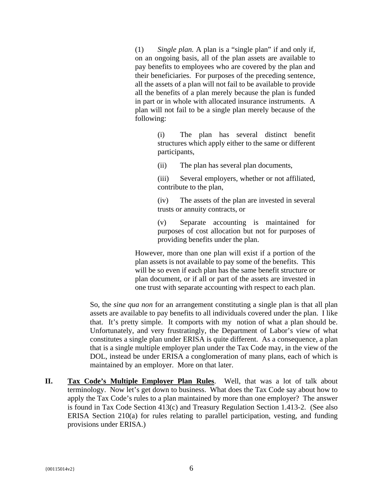(1) *Single plan.* A plan is a "single plan" if and only if, on an ongoing basis, all of the plan assets are available to pay benefits to employees who are covered by the plan and their beneficiaries. For purposes of the preceding sentence, all the assets of a plan will not fail to be available to provide all the benefits of a plan merely because the plan is funded in part or in whole with allocated insurance instruments. A plan will not fail to be a single plan merely because of the following:

> (i) The plan has several distinct benefit structures which apply either to the same or different participants,

(ii) The plan has several plan documents,

(iii) Several employers, whether or not affiliated, contribute to the plan,

(iv) The assets of the plan are invested in several trusts or annuity contracts, or

(v) Separate accounting is maintained for purposes of cost allocation but not for purposes of providing benefits under the plan.

However, more than one plan will exist if a portion of the plan assets is not available to pay some of the benefits. This will be so even if each plan has the same benefit structure or plan document, or if all or part of the assets are invested in one trust with separate accounting with respect to each plan.

So, the *sine qua non* for an arrangement constituting a single plan is that all plan assets are available to pay benefits to all individuals covered under the plan. I like that. It's pretty simple. It comports with my notion of what a plan should be. Unfortunately, and very frustratingly, the Department of Labor's view of what constitutes a single plan under ERISA is quite different. As a consequence, a plan that is a single multiple employer plan under the Tax Code may, in the view of the DOL, instead be under ERISA a conglomeration of many plans, each of which is maintained by an employer. More on that later.

**II. Tax Code's Multiple Employer Plan Rules**. Well, that was a lot of talk about terminology. Now let's get down to business. What does the Tax Code say about how to apply the Tax Code's rules to a plan maintained by more than one employer? The answer is found in Tax Code Section 413(c) and Treasury Regulation Section 1.413-2. (See also ERISA Section 210(a) for rules relating to parallel participation, vesting, and funding provisions under ERISA.)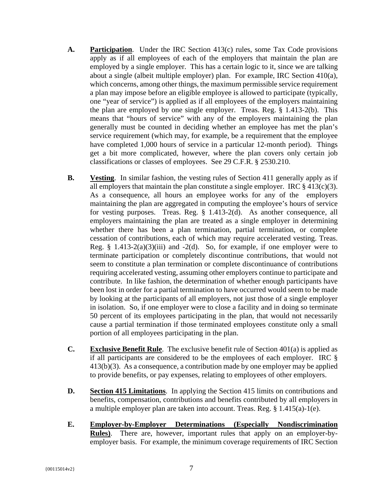- **A. Participation**. Under the IRC Section 413(c) rules, some Tax Code provisions apply as if all employees of each of the employers that maintain the plan are employed by a single employer. This has a certain logic to it, since we are talking about a single (albeit multiple employer) plan. For example, IRC Section 410(a), which concerns, among other things, the maximum permissible service requirement a plan may impose before an eligible employee is allowed to participate (typically, one "year of service") is applied as if all employees of the employers maintaining the plan are employed by one single employer. Treas. Reg. § 1.413-2(b). This means that "hours of service" with any of the employers maintaining the plan generally must be counted in deciding whether an employee has met the plan's service requirement (which may, for example, be a requirement that the employee have completed 1,000 hours of service in a particular 12-month period). Things get a bit more complicated, however, where the plan covers only certain job classifications or classes of employees. See 29 C.F.R. § 2530.210.
- **B. Vesting**. In similar fashion, the vesting rules of Section 411 generally apply as if all employers that maintain the plan constitute a single employer. IRC  $\S$  413(c)(3). As a consequence, all hours an employee works for any of the employers maintaining the plan are aggregated in computing the employee's hours of service for vesting purposes. Treas. Reg. § 1.413-2(d). As another consequence, all employers maintaining the plan are treated as a single employer in determining whether there has been a plan termination, partial termination, or complete cessation of contributions, each of which may require accelerated vesting. Treas. Reg.  $\S$  1.413-2(a)(3)(iii) and -2(d). So, for example, if one employer were to terminate participation or completely discontinue contributions, that would not seem to constitute a plan termination or complete discontinuance of contributions requiring accelerated vesting, assuming other employers continue to participate and contribute. In like fashion, the determination of whether enough participants have been lost in order for a partial termination to have occurred would seem to be made by looking at the participants of all employers, not just those of a single employer in isolation. So, if one employer were to close a facility and in doing so terminate 50 percent of its employees participating in the plan, that would not necessarily cause a partial termination if those terminated employees constitute only a small portion of all employees participating in the plan.
- **C. Exclusive Benefit Rule**. The exclusive benefit rule of Section 401(a) is applied as if all participants are considered to be the employees of each employer. IRC § 413(b)(3). As a consequence, a contribution made by one employer may be applied to provide benefits, or pay expenses, relating to employees of other employers.
- **D. Section 415 Limitations**. In applying the Section 415 limits on contributions and benefits, compensation, contributions and benefits contributed by all employers in a multiple employer plan are taken into account. Treas. Reg. § 1.415(a)-1(e).
- **E. Employer-by-Employer Determinations (Especially Nondiscrimination Rules)**. There are, however, important rules that apply on an employer-byemployer basis. For example, the minimum coverage requirements of IRC Section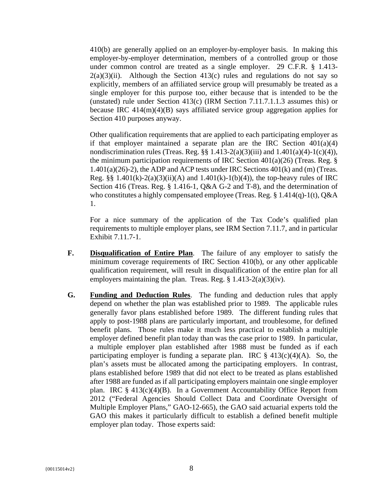410(b) are generally applied on an employer-by-employer basis. In making this employer-by-employer determination, members of a controlled group or those under common control are treated as a single employer. 29 C.F.R. § 1.413-  $2(a)(3)(ii)$ . Although the Section 413(c) rules and regulations do not say so explicitly, members of an affiliated service group will presumably be treated as a single employer for this purpose too, either because that is intended to be the (unstated) rule under Section 413(c) (IRM Section 7.11.7.1.1.3 assumes this) or because IRC 414(m)(4)(B) says affiliated service group aggregation applies for Section 410 purposes anyway.

Other qualification requirements that are applied to each participating employer as if that employer maintained a separate plan are the IRC Section  $401(a)(4)$ nondiscrimination rules (Treas. Reg.  $\S$ § 1.413-2(a)(3)(iii) and 1.401(a)(4)-1(c)(4)), the minimum participation requirements of IRC Section  $401(a)(26)$  (Treas. Reg. §  $1.401(a)(26)-2$ ), the ADP and ACP tests under IRC Sections  $401(k)$  and (m) (Treas. Reg. §§ 1.401(k)-2(a)(3)(ii)(A) and 1.401(k)-1(b)(4)), the top-heavy rules of IRC Section 416 (Treas. Reg. § 1.416-1, Q&A G-2 and T-8), and the determination of who constitutes a highly compensated employee (Treas. Reg. § 1.414(q)-1(t), Q&A 1.

For a nice summary of the application of the Tax Code's qualified plan requirements to multiple employer plans, see IRM Section 7.11.7, and in particular Exhibit 7.11.7-1.

- **F. Disqualification of Entire Plan**. The failure of any employer to satisfy the minimum coverage requirements of IRC Section 410(b), or any other applicable qualification requirement, will result in disqualification of the entire plan for all employers maintaining the plan. Treas. Reg.  $\S 1.413-2(a)(3)(iv)$ .
- **G. Funding and Deduction Rules**. The funding and deduction rules that apply depend on whether the plan was established prior to 1989. The applicable rules generally favor plans established before 1989. The different funding rules that apply to post-1988 plans are particularly important, and troublesome, for defined benefit plans. Those rules make it much less practical to establish a multiple employer defined benefit plan today than was the case prior to 1989. In particular, a multiple employer plan established after 1988 must be funded as if each participating employer is funding a separate plan. IRC  $\S$  413(c)(4)(A). So, the plan's assets must be allocated among the participating employers. In contrast, plans established before 1989 that did not elect to be treated as plans established after 1988 are funded as if all participating employers maintain one single employer plan. IRC  $\S$  413(c)(4)(B). In a Government Accountability Office Report from 2012 ("Federal Agencies Should Collect Data and Coordinate Oversight of Multiple Employer Plans," GAO-12-665), the GAO said actuarial experts told the GAO this makes it particularly difficult to establish a defined benefit multiple employer plan today. Those experts said: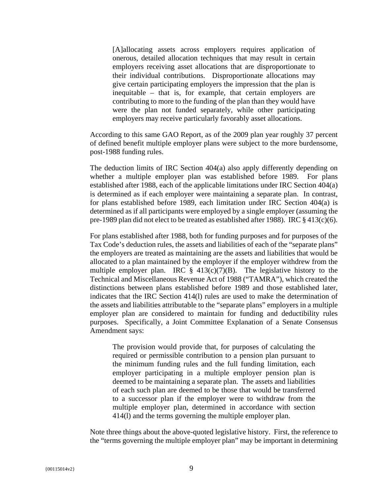[A]allocating assets across employers requires application of onerous, detailed allocation techniques that may result in certain employers receiving asset allocations that are disproportionate to their individual contributions. Disproportionate allocations may give certain participating employers the impression that the plan is inequitable – that is, for example, that certain employers are contributing to more to the funding of the plan than they would have were the plan not funded separately, while other participating employers may receive particularly favorably asset allocations.

According to this same GAO Report, as of the 2009 plan year roughly 37 percent of defined benefit multiple employer plans were subject to the more burdensome, post-1988 funding rules.

The deduction limits of IRC Section 404(a) also apply differently depending on whether a multiple employer plan was established before 1989. For plans established after 1988, each of the applicable limitations under IRC Section 404(a) is determined as if each employer were maintaining a separate plan. In contrast, for plans established before 1989, each limitation under IRC Section 404(a) is determined as if all participants were employed by a single employer (assuming the pre-1989 plan did not elect to be treated as established after 1988). IRC § 413(c)(6).

For plans established after 1988, both for funding purposes and for purposes of the Tax Code's deduction rules, the assets and liabilities of each of the "separate plans" the employers are treated as maintaining are the assets and liabilities that would be allocated to a plan maintained by the employer if the employer withdrew from the multiple employer plan. IRC  $\frac{8}{9}$  413(c)(7)(B). The legislative history to the Technical and Miscellaneous Revenue Act of 1988 ("TAMRA"), which created the distinctions between plans established before 1989 and those established later, indicates that the IRC Section 414(l) rules are used to make the determination of the assets and liabilities attributable to the "separate plans" employers in a multiple employer plan are considered to maintain for funding and deductibility rules purposes. Specifically, a Joint Committee Explanation of a Senate Consensus Amendment says:

The provision would provide that, for purposes of calculating the required or permissible contribution to a pension plan pursuant to the minimum funding rules and the full funding limitation, each employer participating in a multiple employer pension plan is deemed to be maintaining a separate plan. The assets and liabilities of each such plan are deemed to be those that would be transferred to a successor plan if the employer were to withdraw from the multiple employer plan, determined in accordance with section 414(l) and the terms governing the multiple employer plan.

Note three things about the above-quoted legislative history. First, the reference to the "terms governing the multiple employer plan" may be important in determining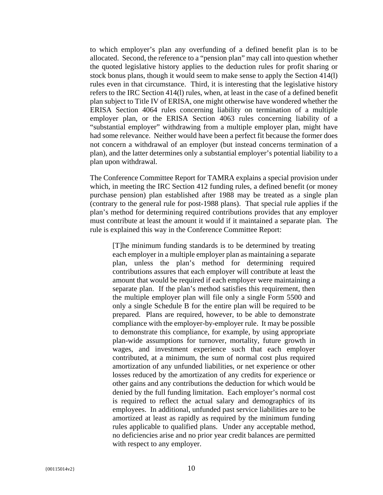to which employer's plan any overfunding of a defined benefit plan is to be allocated. Second, the reference to a "pension plan" may call into question whether the quoted legislative history applies to the deduction rules for profit sharing or stock bonus plans, though it would seem to make sense to apply the Section 414(l) rules even in that circumstance. Third, it is interesting that the legislative history refers to the IRC Section 414(l) rules, when, at least in the case of a defined benefit plan subject to Title IV of ERISA, one might otherwise have wondered whether the ERISA Section 4064 rules concerning liability on termination of a multiple employer plan, or the ERISA Section 4063 rules concerning liability of a "substantial employer" withdrawing from a multiple employer plan, might have had some relevance. Neither would have been a perfect fit because the former does not concern a withdrawal of an employer (but instead concerns termination of a plan), and the latter determines only a substantial employer's potential liability to a plan upon withdrawal.

The Conference Committee Report for TAMRA explains a special provision under which, in meeting the IRC Section 412 funding rules, a defined benefit (or money purchase pension) plan established after 1988 may be treated as a single plan (contrary to the general rule for post-1988 plans). That special rule applies if the plan's method for determining required contributions provides that any employer must contribute at least the amount it would if it maintained a separate plan. The rule is explained this way in the Conference Committee Report:

[T]he minimum funding standards is to be determined by treating each employer in a multiple employer plan as maintaining a separate plan, unless the plan's method for determining required contributions assures that each employer will contribute at least the amount that would be required if each employer were maintaining a separate plan. If the plan's method satisfies this requirement, then the multiple employer plan will file only a single Form 5500 and only a single Schedule B for the entire plan will be required to be prepared. Plans are required, however, to be able to demonstrate compliance with the employer-by-employer rule. It may be possible to demonstrate this compliance, for example, by using appropriate plan-wide assumptions for turnover, mortality, future growth in wages, and investment experience such that each employer contributed, at a minimum, the sum of normal cost plus required amortization of any unfunded liabilities, or net experience or other losses reduced by the amortization of any credits for experience or other gains and any contributions the deduction for which would be denied by the full funding limitation. Each employer's normal cost is required to reflect the actual salary and demographics of its employees. In additional, unfunded past service liabilities are to be amortized at least as rapidly as required by the minimum funding rules applicable to qualified plans. Under any acceptable method, no deficiencies arise and no prior year credit balances are permitted with respect to any employer.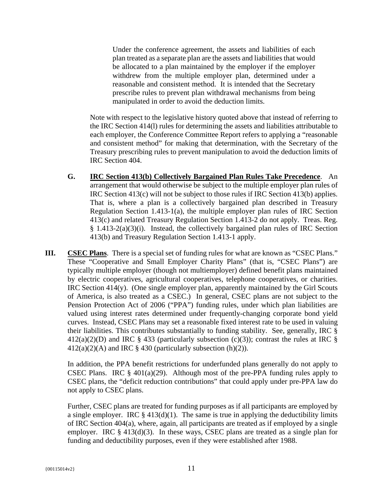Under the conference agreement, the assets and liabilities of each plan treated as a separate plan are the assets and liabilities that would be allocated to a plan maintained by the employer if the employer withdrew from the multiple employer plan, determined under a reasonable and consistent method. It is intended that the Secretary prescribe rules to prevent plan withdrawal mechanisms from being manipulated in order to avoid the deduction limits.

Note with respect to the legislative history quoted above that instead of referring to the IRC Section 414(l) rules for determining the assets and liabilities attributable to each employer, the Conference Committee Report refers to applying a "reasonable and consistent method" for making that determination, with the Secretary of the Treasury prescribing rules to prevent manipulation to avoid the deduction limits of IRC Section 404.

- **G. IRC Section 413(b) Collectively Bargained Plan Rules Take Precedence**. An arrangement that would otherwise be subject to the multiple employer plan rules of IRC Section 413(c) will not be subject to those rules if IRC Section 413(b) applies. That is, where a plan is a collectively bargained plan described in Treasury Regulation Section 1.413-1(a), the multiple employer plan rules of IRC Section 413(c) and related Treasury Regulation Section 1.413-2 do not apply. Treas. Reg. § 1.413-2(a)(3)(i). Instead, the collectively bargained plan rules of IRC Section 413(b) and Treasury Regulation Section 1.413-1 apply.
- **III. CSEC Plans**. There is a special set of funding rules for what are known as "CSEC Plans." These "Cooperative and Small Employer Charity Plans" (that is, "CSEC Plans") are typically multiple employer (though not multiemployer) defined benefit plans maintained by electric cooperatives, agricultural cooperatives, telephone cooperatives, or charities. IRC Section 414(y). (One single employer plan, apparently maintained by the Girl Scouts of America, is also treated as a CSEC.) In general, CSEC plans are not subject to the Pension Protection Act of 2006 ("PPA") funding rules, under which plan liabilities are valued using interest rates determined under frequently-changing corporate bond yield curves. Instead, CSEC Plans may set a reasonable fixed interest rate to be used in valuing their liabilities. This contributes substantially to funding stability. See, generally, IRC §  $412(a)(2)(D)$  and IRC § 433 (particularly subsection (c)(3)); contrast the rules at IRC §  $412(a)(2)(A)$  and IRC § 430 (particularly subsection (h)(2)).

In addition, the PPA benefit restrictions for underfunded plans generally do not apply to CSEC Plans. IRC  $\S$  401(a)(29). Although most of the pre-PPA funding rules apply to CSEC plans, the "deficit reduction contributions" that could apply under pre-PPA law do not apply to CSEC plans.

Further, CSEC plans are treated for funding purposes as if all participants are employed by a single employer. IRC  $\S$  413(d)(1). The same is true in applying the deductibility limits of IRC Section 404(a), where, again, all participants are treated as if employed by a single employer. IRC  $\S$  413(d)(3). In these ways, CSEC plans are treated as a single plan for funding and deductibility purposes, even if they were established after 1988.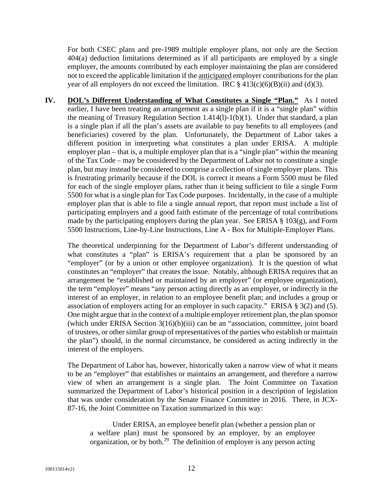For both CSEC plans and pre-1989 multiple employer plans, not only are the Section 404(a) deduction limitations determined as if all participants are employed by a single employer, the amounts contributed by each employer maintaining the plan are considered not to exceed the applicable limitation if the anticipated employer contributions for the plan year of all employers do not exceed the limitation. IRC  $\S$  413(c)(6)(B)(ii) and (d)(3).

**IV. DOL's Different Understanding of What Constitutes a Single "Plan."** As I noted earlier. I have been treating an arrangement as a single plan if it is a "single plan" within the meaning of Treasury Regulation Section 1.414(l)-1(b)(1). Under that standard, a plan is a single plan if all the plan's assets are available to pay benefits to all employees (and beneficiaries) covered by the plan. Unfortunately, the Department of Labor takes a different position in interpreting what constitutes a plan under ERISA. A multiple employer plan – that is, a multiple employer plan that is a "single plan" within the meaning of the Tax Code – may be considered by the Department of Labor not to constitute a single plan, but may instead be considered to comprise a collection of single employer plans. This is frustrating primarily because if the DOL is correct it means a Form 5500 must be filed for each of the single employer plans, rather than it being sufficient to file a single Form 5500 for what is a single plan for Tax Code purposes. Incidentally, in the case of a multiple employer plan that is able to file a single annual report, that report must include a list of participating employers and a good faith estimate of the percentage of total contributions made by the participating employers during the plan year. See ERISA  $\S$  103(g), and Form 5500 Instructions, Line-by-Line Instructions, Line A - Box for Multiple-Employer Plans.

The theoretical underpinning for the Department of Labor's different understanding of what constitutes a "plan" is ERISA's requirement that a plan be sponsored by an "employer" (or by a union or other employee organization). It is the question of what constitutes an "employer" that creates the issue. Notably, although ERISA requires that an arrangement be "established or maintained by an employer" (or employee organization), the term "employer" means "any person acting directly as an employer, or indirectly in the interest of an employer, in relation to an employee benefit plan; and includes a group or association of employers acting for an employer in such capacity." ERISA § 3(2) and (5). One might argue that in the context of a multiple employer retirement plan, the plan sponsor (which under ERISA Section 3(16)(b)(iii) can be an "association, committee, joint board of trustees, or other similar group of representatives of the parties who establish or maintain the plan") should, in the normal circumstance, be considered as acting indirectly in the interest of the employers.

The Department of Labor has, however, historically taken a narrow view of what it means to be an "employer" that establishes or maintains an arrangement, and therefore a narrow view of when an arrangement is a single plan. The Joint Committee on Taxation summarized the Department of Labor's historical position in a description of legislation that was under consideration by the Senate Finance Committee in 2016. There, in JCX-87-16, the Joint Committee on Taxation summarized in this way:

Under ERISA, an employee benefit plan (whether a pension plan or a welfare plan) must be sponsored by an employer, by an employee organization, or by both.29 The definition of employer is any person acting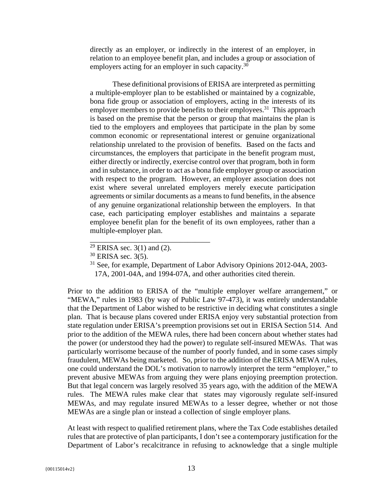directly as an employer, or indirectly in the interest of an employer, in relation to an employee benefit plan, and includes a group or association of employers acting for an employer in such capacity.<sup>30</sup>

These definitional provisions of ERISA are interpreted as permitting a multiple-employer plan to be established or maintained by a cognizable, bona fide group or association of employers, acting in the interests of its employer members to provide benefits to their employees.<sup>31</sup> This approach is based on the premise that the person or group that maintains the plan is tied to the employers and employees that participate in the plan by some common economic or representational interest or genuine organizational relationship unrelated to the provision of benefits. Based on the facts and circumstances, the employers that participate in the benefit program must, either directly or indirectly, exercise control over that program, both in form and in substance, in order to act as a bona fide employer group or association with respect to the program. However, an employer association does not exist where several unrelated employers merely execute participation agreements or similar documents as a means to fund benefits, in the absence of any genuine organizational relationship between the employers. In that case, each participating employer establishes and maintains a separate employee benefit plan for the benefit of its own employees, rather than a multiple-employer plan.

\_\_\_\_\_\_\_\_\_\_\_\_\_\_\_\_\_\_\_\_\_\_\_\_\_\_\_\_\_\_\_\_

Prior to the addition to ERISA of the "multiple employer welfare arrangement," or "MEWA," rules in 1983 (by way of Public Law 97-473), it was entirely understandable that the Department of Labor wished to be restrictive in deciding what constitutes a single plan. That is because plans covered under ERISA enjoy very substantial protection from state regulation under ERISA's preemption provisions set out in ERISA Section 514. And prior to the addition of the MEWA rules, there had been concern about whether states had the power (or understood they had the power) to regulate self-insured MEWAs. That was particularly worrisome because of the number of poorly funded, and in some cases simply fraudulent, MEWAs being marketed. So, prior to the addition of the ERISA MEWA rules, one could understand the DOL's motivation to narrowly interpret the term "employer," to prevent abusive MEWAs from arguing they were plans enjoying preemption protection. But that legal concern was largely resolved 35 years ago, with the addition of the MEWA rules. The MEWA rules make clear that states may vigorously regulate self-insured MEWAs, and may regulate insured MEWAs to a lesser degree, whether or not those MEWAs are a single plan or instead a collection of single employer plans.

At least with respect to qualified retirement plans, where the Tax Code establishes detailed rules that are protective of plan participants, I don't see a contemporary justification for the Department of Labor's recalcitrance in refusing to acknowledge that a single multiple

 $29$  ERISA sec. 3(1) and (2).

 $30$  ERISA sec. 3(5).

<sup>&</sup>lt;sup>31</sup> See, for example, Department of Labor Advisory Opinions 2012-04A, 2003-17A, 2001-04A, and 1994-07A, and other authorities cited therein.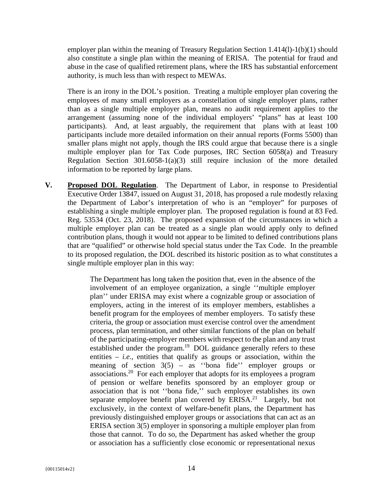employer plan within the meaning of Treasury Regulation Section  $1.414(1)-1(b)(1)$  should also constitute a single plan within the meaning of ERISA. The potential for fraud and abuse in the case of qualified retirement plans, where the IRS has substantial enforcement authority, is much less than with respect to MEWAs.

There is an irony in the DOL's position. Treating a multiple employer plan covering the employees of many small employers as a constellation of single employer plans, rather than as a single multiple employer plan, means no audit requirement applies to the arrangement (assuming none of the individual employers' "plans" has at least 100 participants). And, at least arguably, the requirement that plans with at least 100 participants include more detailed information on their annual reports (Forms 5500) than smaller plans might not apply, though the IRS could argue that because there is a single multiple employer plan for Tax Code purposes, IRC Section 6058(a) and Treasury Regulation Section 301.6058-1(a)(3) still require inclusion of the more detailed information to be reported by large plans.

**V. Proposed DOL Regulation**. The Department of Labor, in response to Presidential Executive Order 13847, issued on August 31, 2018, has proposed a rule modestly relaxing the Department of Labor's interpretation of who is an "employer" for purposes of establishing a single multiple employer plan. The proposed regulation is found at 83 Fed. Reg. 53534 (Oct. 23, 2018). The proposed expansion of the circumstances in which a multiple employer plan can be treated as a single plan would apply only to defined contribution plans, though it would not appear to be limited to defined contributions plans that are "qualified" or otherwise hold special status under the Tax Code. In the preamble to its proposed regulation, the DOL described its historic position as to what constitutes a single multiple employer plan in this way:

> The Department has long taken the position that, even in the absence of the involvement of an employee organization, a single ''multiple employer plan'' under ERISA may exist where a cognizable group or association of employers, acting in the interest of its employer members, establishes a benefit program for the employees of member employers. To satisfy these criteria, the group or association must exercise control over the amendment process, plan termination, and other similar functions of the plan on behalf of the participating-employer members with respect to the plan and any trust established under the program.<sup>19</sup> DOL guidance generally refers to these entities  $-$  *i.e.*, entities that qualify as groups or association, within the meaning of section  $3(5)$  – as "bona fide" employer groups or associations.20 For each employer that adopts for its employees a program of pension or welfare benefits sponsored by an employer group or association that is not ''bona fide,'' such employer establishes its own separate employee benefit plan covered by  $ERISA<sup>21</sup>$  Largely, but not exclusively, in the context of welfare-benefit plans, the Department has previously distinguished employer groups or associations that can act as an ERISA section 3(5) employer in sponsoring a multiple employer plan from those that cannot. To do so, the Department has asked whether the group or association has a sufficiently close economic or representational nexus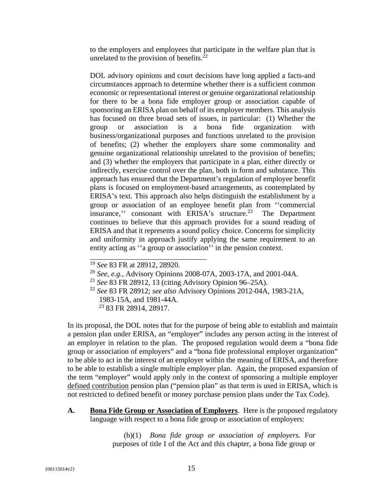to the employers and employees that participate in the welfare plan that is unrelated to the provision of benefits. $2^{\overline{2}}$ 

DOL advisory opinions and court decisions have long applied a facts-and circumstances approach to determine whether there is a sufficient common economic or representational interest or genuine organizational relationship for there to be a bona fide employer group or association capable of sponsoring an ERISA plan on behalf of its employer members. This analysis has focused on three broad sets of issues, in particular: (1) Whether the group or association is a bona fide organization with business/organizational purposes and functions unrelated to the provision of benefits; (2) whether the employers share some commonality and genuine organizational relationship unrelated to the provision of benefits; and (3) whether the employers that participate in a plan, either directly or indirectly, exercise control over the plan, both in form and substance. This approach has ensured that the Department's regulation of employee benefit plans is focused on employment-based arrangements, as contemplated by ERISA's text. This approach also helps distinguish the establishment by a group or association of an employee benefit plan from ''commercial insurance," consonant with ERISA's structure.<sup>23</sup> The Department continues to believe that this approach provides for a sound reading of ERISA and that it represents a sound policy choice. Concerns for simplicity and uniformity in approach justify applying the same requirement to an entity acting as ''a group or association'' in the pension context.

\_\_\_\_\_\_\_\_\_\_\_\_\_\_\_\_\_\_\_\_\_\_\_\_\_\_\_\_\_\_\_

In its proposal, the DOL notes that for the purpose of being able to establish and maintain a pension plan under ERISA, an "employer" includes any person acting in the interest of an employer in relation to the plan. The proposed regulation would deem a "bona fide group or association of employers" and a "bona fide professional employer organization" to be able to act in the interest of an employer within the meaning of ERISA, and therefore to be able to establish a single multiple employer plan. Again, the proposed expansion of the term "employer" would apply only in the context of sponsoring a multiple employer defined contribution pension plan ("pension plan" as that term is used in ERISA, which is not restricted to defined benefit or money purchase pension plans under the Tax Code).

**A. Bona Fide Group or Association of Employers**. Here is the proposed regulatory language with respect to a bona fide group or association of employers:

> (b)(1) *Bona fide group or association of employers.* For purposes of title I of the Act and this chapter, a bona fide group or

<sup>19</sup> *See* 83 FR at 28912, 28920.

<sup>20</sup> *See, e.g.,* Advisory Opinions 2008-07A, 2003-17A, and 2001-04A.

<sup>21</sup> *See* 83 FR 28912, 13 (citing Advisory Opinion 96–25A).

<sup>22</sup> *See* 83 FR 28912; *see also* Advisory Opinions 2012-04A, 1983-21A, 1983-15A, and 1981-44A.

<sup>&</sup>lt;sup>23</sup> 83 FR 28914, 28917.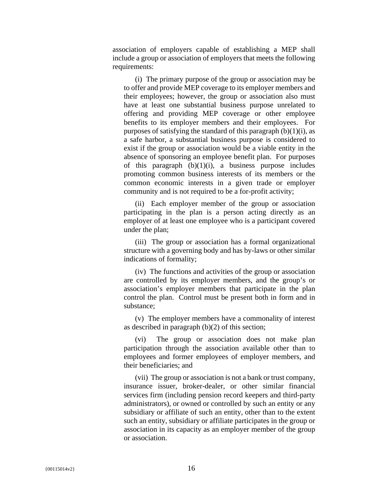association of employers capable of establishing a MEP shall include a group or association of employers that meets the following requirements:

(i) The primary purpose of the group or association may be to offer and provide MEP coverage to its employer members and their employees; however, the group or association also must have at least one substantial business purpose unrelated to offering and providing MEP coverage or other employee benefits to its employer members and their employees. For purposes of satisfying the standard of this paragraph  $(b)(1)(i)$ , as a safe harbor, a substantial business purpose is considered to exist if the group or association would be a viable entity in the absence of sponsoring an employee benefit plan. For purposes of this paragraph  $(b)(1)(i)$ , a business purpose includes promoting common business interests of its members or the common economic interests in a given trade or employer community and is not required to be a for-profit activity;

(ii) Each employer member of the group or association participating in the plan is a person acting directly as an employer of at least one employee who is a participant covered under the plan;

(iii) The group or association has a formal organizational structure with a governing body and has by-laws or other similar indications of formality;

(iv) The functions and activities of the group or association are controlled by its employer members, and the group's or association's employer members that participate in the plan control the plan. Control must be present both in form and in substance;

(v) The employer members have a commonality of interest as described in paragraph (b)(2) of this section;

(vi) The group or association does not make plan participation through the association available other than to employees and former employees of employer members, and their beneficiaries; and

(vii) The group or association is not a bank or trust company, insurance issuer, broker-dealer, or other similar financial services firm (including pension record keepers and third-party administrators), or owned or controlled by such an entity or any subsidiary or affiliate of such an entity, other than to the extent such an entity, subsidiary or affiliate participates in the group or association in its capacity as an employer member of the group or association.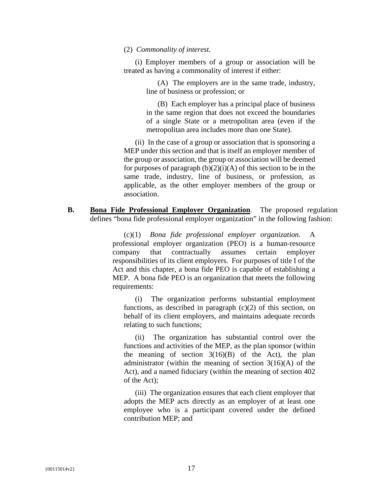#### (2) *Commonality of interest.*

(i) Employer members of a group or association will be treated as having a commonality of interest if either:

> (A) The employers are in the same trade, industry, line of business or profession; or

> (B) Each employer has a principal place of business in the same region that does not exceed the boundaries of a single State or a metropolitan area (even if the metropolitan area includes more than one State).

(ii) In the case of a group or association that is sponsoring a MEP under this section and that is itself an employer member of the group or association, the group or association will be deemed for purposes of paragraph  $(b)(2)(i)(A)$  of this section to be in the same trade, industry, line of business, or profession, as applicable, as the other employer members of the group or association.

**B. Bona Fide Professional Employer Organization**. The proposed regulation defines "bona fide professional employer organization" in the following fashion:

> (c)(1) *Bona fide professional employer organization.* A professional employer organization (PEO) is a human-resource company that contractually assumes certain employer responsibilities of its client employers. For purposes of title I of the Act and this chapter, a bona fide PEO is capable of establishing a MEP. A bona fide PEO is an organization that meets the following requirements:

(i) The organization performs substantial employment functions, as described in paragraph  $(c)(2)$  of this section, on behalf of its client employers, and maintains adequate records relating to such functions;

(ii) The organization has substantial control over the functions and activities of the MEP, as the plan sponsor (within the meaning of section  $3(16)(B)$  of the Act), the plan administrator (within the meaning of section  $3(16)(A)$  of the Act), and a named fiduciary (within the meaning of section 402 of the Act);

(iii) The organization ensures that each client employer that adopts the MEP acts directly as an employer of at least one employee who is a participant covered under the defined contribution MEP; and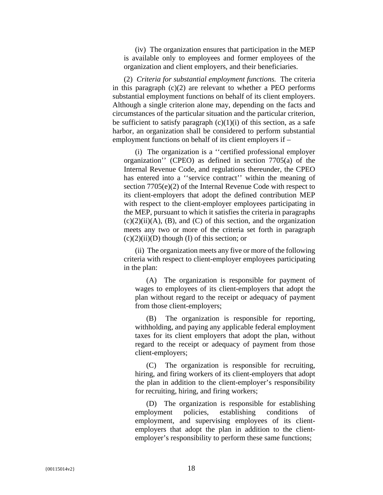(iv) The organization ensures that participation in the MEP is available only to employees and former employees of the organization and client employers, and their beneficiaries.

(2) *Criteria for substantial employment functions.* The criteria in this paragraph  $(c)(2)$  are relevant to whether a PEO performs substantial employment functions on behalf of its client employers. Although a single criterion alone may, depending on the facts and circumstances of the particular situation and the particular criterion, be sufficient to satisfy paragraph  $(c)(1)(i)$  of this section, as a safe harbor, an organization shall be considered to perform substantial employment functions on behalf of its client employers if –

(i) The organization is a ''certified professional employer organization'' (CPEO) as defined in section 7705(a) of the Internal Revenue Code, and regulations thereunder, the CPEO has entered into a "service contract" within the meaning of section 7705(e)(2) of the Internal Revenue Code with respect to its client-employers that adopt the defined contribution MEP with respect to the client-employer employees participating in the MEP, pursuant to which it satisfies the criteria in paragraphs  $(c)(2)(ii)(A)$ ,  $(B)$ , and  $(C)$  of this section, and the organization meets any two or more of the criteria set forth in paragraph  $(c)(2)(ii)(D)$  though  $(I)$  of this section; or

(ii) The organization meets any five or more of the following criteria with respect to client-employer employees participating in the plan:

(A) The organization is responsible for payment of wages to employees of its client-employers that adopt the plan without regard to the receipt or adequacy of payment from those client-employers;

(B) The organization is responsible for reporting, withholding, and paying any applicable federal employment taxes for its client employers that adopt the plan, without regard to the receipt or adequacy of payment from those client-employers;

(C) The organization is responsible for recruiting, hiring, and firing workers of its client-employers that adopt the plan in addition to the client-employer's responsibility for recruiting, hiring, and firing workers;

(D) The organization is responsible for establishing employment policies, establishing conditions of employment, and supervising employees of its clientemployers that adopt the plan in addition to the clientemployer's responsibility to perform these same functions;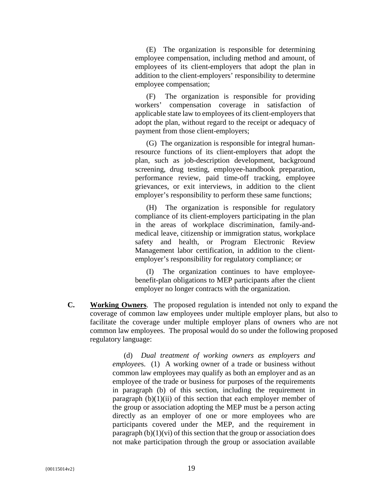(E) The organization is responsible for determining employee compensation, including method and amount, of employees of its client-employers that adopt the plan in addition to the client-employers' responsibility to determine employee compensation;

(F) The organization is responsible for providing workers' compensation coverage in satisfaction of applicable state law to employees of its client-employers that adopt the plan, without regard to the receipt or adequacy of payment from those client-employers;

(G) The organization is responsible for integral humanresource functions of its client-employers that adopt the plan, such as job-description development, background screening, drug testing, employee-handbook preparation, performance review, paid time-off tracking, employee grievances, or exit interviews, in addition to the client employer's responsibility to perform these same functions;

(H) The organization is responsible for regulatory compliance of its client-employers participating in the plan in the areas of workplace discrimination, family-andmedical leave, citizenship or immigration status, workplace safety and health, or Program Electronic Review Management labor certification, in addition to the clientemployer's responsibility for regulatory compliance; or

(I) The organization continues to have employeebenefit-plan obligations to MEP participants after the client employer no longer contracts with the organization.

**C. Working Owners**. The proposed regulation is intended not only to expand the coverage of common law employees under multiple employer plans, but also to facilitate the coverage under multiple employer plans of owners who are not common law employees. The proposal would do so under the following proposed regulatory language:

> (d) *Dual treatment of working owners as employers and employee*s. (1) A working owner of a trade or business without common law employees may qualify as both an employer and as an employee of the trade or business for purposes of the requirements in paragraph (b) of this section, including the requirement in paragraph  $(b)(1)(ii)$  of this section that each employer member of the group or association adopting the MEP must be a person acting directly as an employer of one or more employees who are participants covered under the MEP, and the requirement in paragraph  $(b)(1)(vi)$  of this section that the group or association does not make participation through the group or association available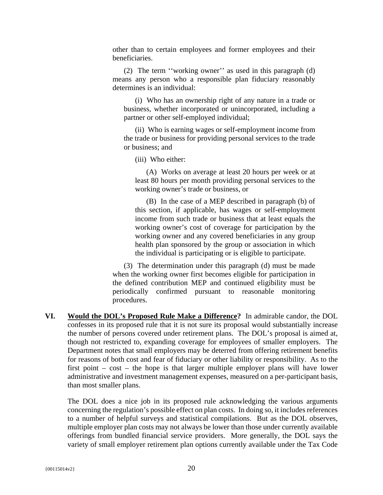other than to certain employees and former employees and their beneficiaries.

(2) The term ''working owner'' as used in this paragraph (d) means any person who a responsible plan fiduciary reasonably determines is an individual:

(i) Who has an ownership right of any nature in a trade or business, whether incorporated or unincorporated, including a partner or other self-employed individual;

(ii) Who is earning wages or self-employment income from the trade or business for providing personal services to the trade or business; and

(iii) Who either:

(A) Works on average at least 20 hours per week or at least 80 hours per month providing personal services to the working owner's trade or business, or

(B) In the case of a MEP described in paragraph (b) of this section, if applicable, has wages or self-employment income from such trade or business that at least equals the working owner's cost of coverage for participation by the working owner and any covered beneficiaries in any group health plan sponsored by the group or association in which the individual is participating or is eligible to participate.

(3) The determination under this paragraph (d) must be made when the working owner first becomes eligible for participation in the defined contribution MEP and continued eligibility must be periodically confirmed pursuant to reasonable monitoring procedures.

**VI. Would the DOL's Proposed Rule Make a Difference?** In admirable candor, the DOL confesses in its proposed rule that it is not sure its proposal would substantially increase the number of persons covered under retirement plans. The DOL's proposal is aimed at, though not restricted to, expanding coverage for employees of smaller employers. The Department notes that small employers may be deterred from offering retirement benefits for reasons of both cost and fear of fiduciary or other liability or responsibility. As to the first point – cost – the hope is that larger multiple employer plans will have lower administrative and investment management expenses, measured on a per-participant basis, than most smaller plans.

The DOL does a nice job in its proposed rule acknowledging the various arguments concerning the regulation's possible effect on plan costs. In doing so, it includes references to a number of helpful surveys and statistical compilations. But as the DOL observes, multiple employer plan costs may not always be lower than those under currently available offerings from bundled financial service providers. More generally, the DOL says the variety of small employer retirement plan options currently available under the Tax Code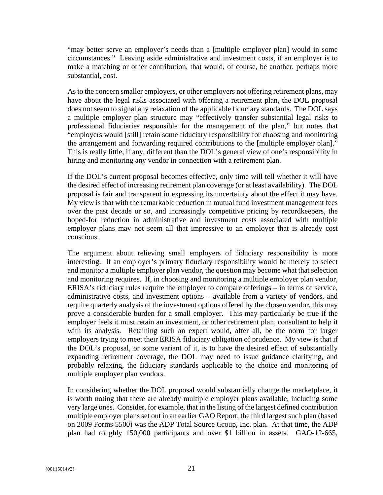"may better serve an employer's needs than a [multiple employer plan] would in some circumstances." Leaving aside administrative and investment costs, if an employer is to make a matching or other contribution, that would, of course, be another, perhaps more substantial, cost.

As to the concern smaller employers, or other employers not offering retirement plans, may have about the legal risks associated with offering a retirement plan, the DOL proposal does not seem to signal any relaxation of the applicable fiduciary standards. The DOL says a multiple employer plan structure may "effectively transfer substantial legal risks to professional fiduciaries responsible for the management of the plan," but notes that "employers would [still] retain some fiduciary responsibility for choosing and monitoring the arrangement and forwarding required contributions to the [multiple employer plan]." This is really little, if any, different than the DOL's general view of one's responsibility in hiring and monitoring any vendor in connection with a retirement plan.

If the DOL's current proposal becomes effective, only time will tell whether it will have the desired effect of increasing retirement plan coverage (or at least availability). The DOL proposal is fair and transparent in expressing its uncertainty about the effect it may have. My view is that with the remarkable reduction in mutual fund investment management fees over the past decade or so, and increasingly competitive pricing by recordkeepers, the hoped-for reduction in administrative and investment costs associated with multiple employer plans may not seem all that impressive to an employer that is already cost conscious.

The argument about relieving small employers of fiduciary responsibility is more interesting. If an employer's primary fiduciary responsibility would be merely to select and monitor a multiple employer plan vendor, the question may become what that selection and monitoring requires. If, in choosing and monitoring a multiple employer plan vendor, ERISA's fiduciary rules require the employer to compare offerings – in terms of service, administrative costs, and investment options – available from a variety of vendors, and require quarterly analysis of the investment options offered by the chosen vendor, this may prove a considerable burden for a small employer. This may particularly be true if the employer feels it must retain an investment, or other retirement plan, consultant to help it with its analysis. Retaining such an expert would, after all, be the norm for larger employers trying to meet their ERISA fiduciary obligation of prudence. My view is that if the DOL's proposal, or some variant of it, is to have the desired effect of substantially expanding retirement coverage, the DOL may need to issue guidance clarifying, and probably relaxing, the fiduciary standards applicable to the choice and monitoring of multiple employer plan vendors.

In considering whether the DOL proposal would substantially change the marketplace, it is worth noting that there are already multiple employer plans available, including some very large ones. Consider, for example, that in the listing of the largest defined contribution multiple employer plans set out in an earlier GAO Report, the third largest such plan (based on 2009 Forms 5500) was the ADP Total Source Group, Inc. plan. At that time, the ADP plan had roughly 150,000 participants and over \$1 billion in assets. GAO-12-665,